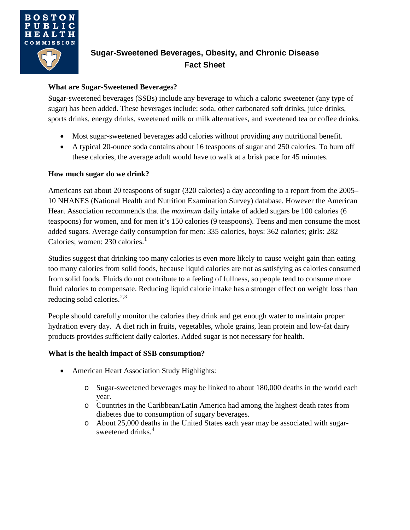

# **Sugar-Sweetened Beverages, Obesity, and Chronic Disease Fact Sheet**

## **What are Sugar-Sweetened Beverages?**

Sugar-sweetened beverages (SSBs) include any beverage to which a caloric sweetener (any type of sugar) has been added. These beverages include: soda, other carbonated soft drinks, juice drinks, sports drinks, energy drinks, sweetened milk or milk alternatives, and sweetened tea or coffee drinks.

- Most sugar-sweetened beverages add calories without providing any nutritional benefit.
- A typical 20-ounce soda contains about 16 teaspoons of sugar and 250 calories. To burn off these calories, the average adult would have to walk at a brisk pace for 45 minutes.

## **How much sugar do we drink?**

Americans eat about 20 teaspoons of sugar (320 calories) a day according to a report from the 2005– 10 NHANES (National Health and Nutrition Examination Survey) database. However the American Heart Association recommends that the *maximum* daily intake of added sugars be 100 calories (6 teaspoons) for women, and for men it's 150 calories (9 teaspoons). Teens and men consume the most added sugars. Average daily consumption for men: 335 calories, boys: 362 calories; girls: 282 Calories; women: 230 calories.<sup>[1](#page-3-0)</sup>

Studies suggest that drinking too many calories is even more likely to cause weight gain than eating too many calories from solid foods, because liquid calories are not as satisfying as calories consumed from solid foods. Fluids do not contribute to a feeling of fullness, so people tend to consume more fluid calories to compensate. Reducing liquid calorie intake has a stronger effect on weight loss than reducing solid calories.<sup>[2](#page-3-1),[3](#page-3-2)</sup>

People should carefully monitor the calories they drink and get enough water to maintain proper hydration every day. A diet rich in fruits, vegetables, whole grains, lean protein and low-fat dairy products provides sufficient daily calories. Added sugar is not necessary for health.

# **What is the health impact of SSB consumption?**

- American Heart Association Study Highlights:
	- o Sugar-sweetened beverages may be linked to about 180,000 deaths in the world each year.
	- o Countries in the Caribbean/Latin America had among the highest death rates from diabetes due to consumption of sugary beverages.
	- o About 25,000 deaths in the United States each year may be associated with sugar-sweetened drinks<sup>[4](#page-3-3)</sup>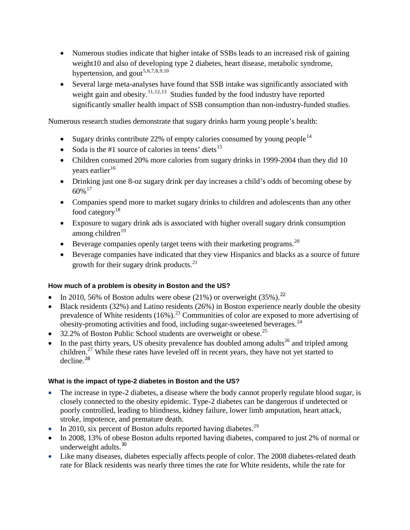- Numerous studies indicate that higher intake of SSBs leads to an increased risk of gaining weight10 and also of developing type 2 diabetes, heart disease, metabolic syndrome, hypertension, and gout<sup>[5](#page-3-4),[6,](#page-3-5)[7,](#page-3-6)[8](#page-3-7),[9](#page-3-8),[10](#page-3-9)</sup>
- Several large meta-analyses have found that SSB intake was significantly associated with weight gain and obesity. $11,12,13$  $11,12,13$  $11,12,13$  Studies funded by the food industry have reported significantly smaller health impact of SSB consumption than non-industry-funded studies.

Numerous research studies demonstrate that sugary drinks harm young people's health:

- Sugary drinks contribute 22% of empty calories consumed by young people<sup>[14](#page-3-13)</sup>
- Soda is the #1 source of calories in teens' diets<sup>[15](#page-3-14)</sup>
- Children consumed 20% more calories from sugary drinks in 1999-2004 than they did 10 years earlier $16$
- Drinking just one 8-oz sugary drink per day increases a child's odds of becoming obese by 60%[17](#page-3-16)
- Companies spend more to market sugary drinks to children and adolescents than any other food category<sup>[18](#page-3-17)</sup>
- Exposure to sugary drink ads is associated with higher overall sugary drink consumption among children $19$
- Beverage companies openly target teens with their marketing programs.<sup>[20](#page-3-19)</sup>
- Beverage companies have indicated that they view Hispanics and blacks as a source of future growth for their sugary drink products.<sup>[21](#page-3-20)</sup>

#### **How much of a problem is obesity in Boston and the US?**

- In 2010, 56% of Boston adults were obese  $(21\%)$  or overweight  $(35\%).^{22}$  $(35\%).^{22}$  $(35\%).^{22}$
- Black residents (32%) and Latino residents (26%) in Boston experience nearly double the obesity prevalence of White residents  $(16\%)$ <sup>[23](#page-3-22)</sup> Communities of color are exposed to more advertising of obesity-promoting activities and food, including sugar-sweetened beverages.<sup>[24](#page-4-0)</sup>
- 32.2% of Boston Public School students are overweight or obese.<sup>[25](#page-4-1)</sup>
- 32.2% of Boston Public School students are overweight or obese.<sup>25</sup> In the past thirty years, US obesity prevalence has doubled among adults<sup>[26](#page-4-2)</sup> and tripled among children.<sup>[27](#page-4-3)</sup> While these rates have leveled off in recent years, they have not yet started to  $decline<sup>28</sup>$  $decline<sup>28</sup>$  $decline<sup>28</sup>$

#### **What is the impact of type-2 diabetes in Boston and the US?**

- The increase in type-2 diabetes, a disease where the body cannot properly regulate blood sugar, is closely connected to the obesity epidemic. Type-2 diabetes can be dangerous if undetected or poorly controlled, leading to blindness, kidney failure, lower limb amputation, heart attack, stroke, impotence, and premature death.
- In 2010, six percent of Boston adults reported having diabetes.<sup>[29](#page-4-5)</sup>
- In 2008, 13% of obese Boston adults reported having diabetes, compared to just 2% of normal or underweight adults.<sup>[30](#page-4-6)</sup>
- Like many diseases, diabetes especially affects people of color. The 2008 diabetes-related death rate for Black residents was nearly three times the rate for White residents, while the rate for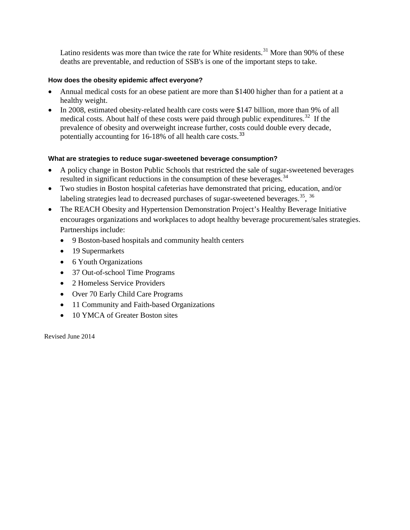Latino residents was more than twice the rate for White residents.<sup>[31](#page-4-7)</sup> More than 90% of these deaths are preventable, and reduction of SSB's is one of the important steps to take.

#### **How does the obesity epidemic affect everyone?**

- Annual medical costs for an obese patient are more than \$1400 higher than for a patient at a healthy weight.
- In 2008, estimated obesity-related health care costs were \$147 billion, more than 9% of all medical costs. About half of these costs were paid through public expenditures.<sup>[32](#page-4-8)</sup> If the prevalence of obesity and overweight increase further, costs could double every decade, potentially accounting for 16-18% of all health care costs.<sup>[33](#page-4-9)</sup>

#### **What are strategies to reduce sugar-sweetened beverage consumption?**

- A policy change in Boston Public Schools that restricted the sale of sugar-sweetened beverages resulted in significant reductions in the consumption of these beverages.<sup>[34](#page-4-10)</sup>
- Two studies in Boston hospital cafeterias have demonstrated that pricing, education, and/or labeling strategies lead to decreased purchases of sugar-sweetened beverages.<sup>35</sup>, <sup>[36](#page-4-12)</sup>
- The REACH Obesity and Hypertension Demonstration Project's Healthy Beverage Initiative encourages organizations and workplaces to adopt healthy beverage procurement/sales strategies. Partnerships include:
	- 9 Boston-based hospitals and community health centers
	- 19 Supermarkets
	- 6 Youth Organizations
	- 37 Out-of-school Time Programs
	- 2 Homeless Service Providers
	- Over 70 Early Child Care Programs
	- 11 Community and Faith-based Organizations
	- 10 YMCA of Greater Boston sites

Revised June 2014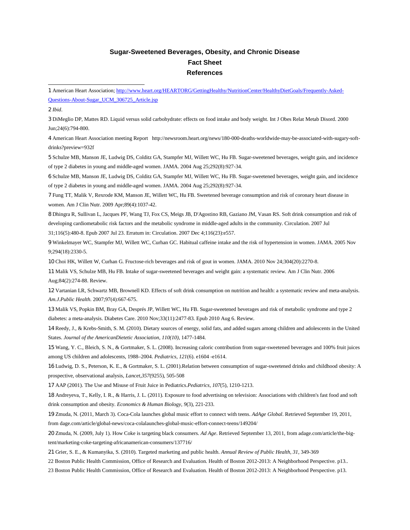# **Sugar-Sweetened Beverages, Obesity, and Chronic Disease Fact Sheet References**

<span id="page-3-0"></span>1 American Heart Association[; http://www.heart.org/HEARTORG/GettingHealthy/NutritionCenter/HealthyDietGoals/Frequently-Asked-](http://www.heart.org/HEARTORG/GettingHealthy/NutritionCenter/HealthyDietGoals/Frequently-Asked-Questions-About-Sugar_UCM_306725_Article.jsp)[Questions-About-Sugar\\_UCM\\_306725\\_Article.jsp](http://www.heart.org/HEARTORG/GettingHealthy/NutritionCenter/HealthyDietGoals/Frequently-Asked-Questions-About-Sugar_UCM_306725_Article.jsp)

<span id="page-3-1"></span>2 *Ibid*.

ı

<span id="page-3-2"></span>3 DiMeglio DP, Mattes RD. Liquid versus solid carbohydrate: effects on food intake and body weight. Int J Obes Relat Metab Disord. 2000 Jun;24(6):794-800.

<span id="page-3-3"></span>4 American Heart Association meeting Report http://newsroom.heart.org/news/180-000-deaths-worldwide-may-be-associated-with-sugary-softdrinks?preview=932f

<span id="page-3-4"></span>5 Schulze MB, Manson JE, Ludwig DS, Colditz GA, Stampfer MJ, Willett WC, Hu FB. Sugar-sweetened beverages, weight gain, and incidence of type 2 diabetes in young and middle-aged women. JAMA. 2004 Aug 25;292(8):927-34.

<span id="page-3-5"></span>6 Schulze MB, Manson JE, Ludwig DS, Colditz GA, Stampfer MJ, Willett WC, Hu FB. Sugar-sweetened beverages, weight gain, and incidence of type 2 diabetes in young and middle-aged women. JAMA. 2004 Aug 25;292(8):927-34.

<span id="page-3-6"></span>7 Fung TT, Malik V, Rexrode KM, Manson JE, Willett WC, Hu FB. Sweetened beverage consumption and risk of coronary heart disease in women. Am J Clin Nutr. 2009 Apr;89(4):1037-42.

<span id="page-3-7"></span>8 Dhingra R, Sullivan L, Jacques PF, Wang TJ, Fox CS, Meigs JB, D'Agostino RB, Gaziano JM, Vasan RS. Soft drink consumption and risk of developing cardiometabolic risk factors and the metabolic syndrome in middle-aged adults in the community. Circulation. 2007 Jul 31;116(5):480-8. Epub 2007 Jul 23. Erratum in: Circulation. 2007 Dec 4;116(23):e557.

<span id="page-3-8"></span>9 Winkelmayer WC, Stampfer MJ, Willett WC, Curhan GC. Habitual caffeine intake and the risk of hypertension in women. JAMA. 2005 Nov 9;294(18):2330-5.

<span id="page-3-9"></span>10 Choi HK, Willett W, Curhan G. Fructose-rich beverages and risk of gout in women. JAMA. 2010 Nov 24;304(20):2270-8.

<span id="page-3-10"></span>11 Malik VS, Schulze MB, Hu FB. Intake of sugar-sweetened beverages and weight gain: a systematic review. Am J Clin Nutr. 2006 Aug;84(2):274-88. Review.

<span id="page-3-11"></span>12 Vartanian LR, Schwartz MB, Brownell KD. Effects of soft drink consumption on nutrition and health: a systematic review and meta-analysis. *Am.J.Public Health.* 2007;97(4):667-675.

<span id="page-3-12"></span>13 Malik VS, Popkin BM, Bray GA, Després JP, Willett WC, Hu FB. Sugar-sweetened beverages and risk of metabolic syndrome and type 2 diabetes: a meta-analysis. Diabetes Care. 2010 Nov;33(11):2477-83. Epub 2010 Aug 6. Review.

<span id="page-3-13"></span>14 Reedy, J., & Krebs-Smith, S. M. (2010). Dietary sources of energy, solid fats, and added sugars among children and adolescents in the United States. *Journal of the AmericanDietetic Association, 110(10)*, 1477-1484.

<span id="page-3-14"></span>15 Wang, Y. C., Bleich, S. N., & Gortmaker, S. L. (2008). Increasing caloric contribution from sugar-sweetened beverages and 100% fruit juices among US children and adolescents, 1988–2004. *Pediatrics, 121*(6). e1604 -e1614.

<span id="page-3-15"></span>16 Ludwig, D. S., Peterson, K. E., & Gortmaker, S. L. (2001).Relation between consumption of sugar-sweetened drinks and childhood obesity: A prospective, observational analysis, *Lancet,357*(9255), 505-508

<span id="page-3-16"></span>17 AAP (2001). The Use and Misuse of Fruit Juice in Pediatrics.*Pediatrics, 107*(5), 1210-1213.

<span id="page-3-17"></span>18 Andreyeva, T., Kelly, I. R., & Harris, J. L. (2011). Exposure to food advertising on television: Associations with children's fast food and soft drink consumption and obesity. *Economics & Human Biology, 9*(3), 221-233.

<span id="page-3-18"></span>19 Zmuda, N. (2011, March 3). Coca-Cola launches global music effort to connect with teens. *AdAge Global*. Retrieved September 19, 2011, from dage.com/article/global-news/coca-colalaunches-global-music-effort-connect-teens/149204/

<span id="page-3-19"></span>20 Zmuda, N. (2009, July 1). How Coke is targeting black consumers. *Ad Age*. Retrieved September 13, 2011, from adage.com/article/the-bigtent/marketing-coke-targeting-africanamerican-consumers/137716/

<span id="page-3-20"></span>21 Grier, S. E., & Kumanyika, S. (2010). Targeted marketing and public health. *Annual Review of Public Health, 31*, 349-369

<span id="page-3-21"></span>22 Boston Public Health Commission, Office of Research and Evaluation. Health of Boston 2012-2013: A Neighborhood Perspective. p13..

<span id="page-3-22"></span>23 Boston Public Health Commission, Office of Research and Evaluation. Health of Boston 2012-2013: A Neighborhood Perspective. p13.